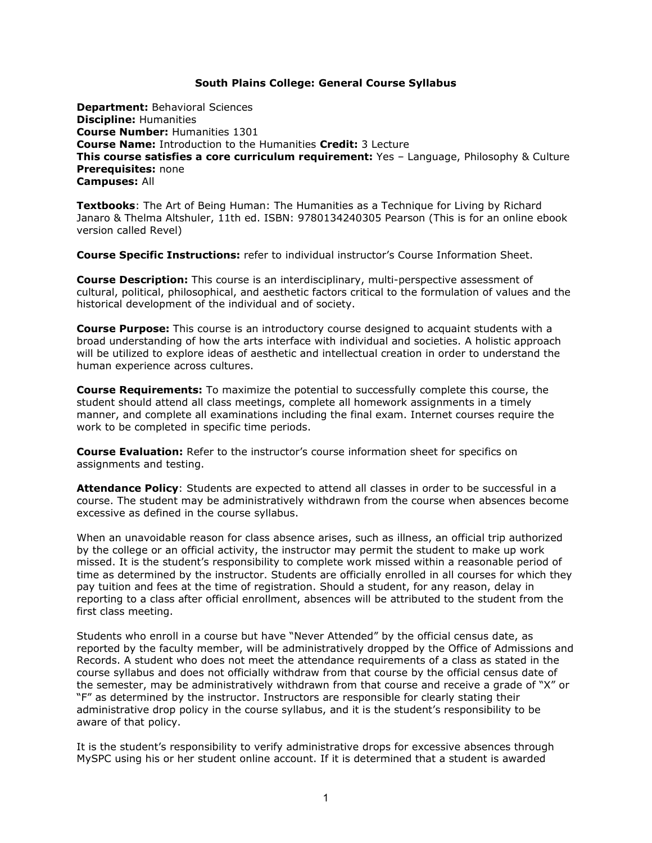## **South Plains College: General Course Syllabus**

**Department:** Behavioral Sciences **Discipline:** Humanities **Course Number:** Humanities 1301 **Course Name:** Introduction to the Humanities **Credit:** 3 Lecture **This course satisfies a core curriculum requirement:** Yes – Language, Philosophy & Culture **Prerequisites:** none **Campuses:** All

**Textbooks**: The Art of Being Human: The Humanities as a Technique for Living by Richard Janaro & Thelma Altshuler, 11th ed. ISBN: 9780134240305 Pearson (This is for an online ebook version called Revel)

**Course Specific Instructions:** refer to individual instructor's Course Information Sheet.

**Course Description:** This course is an interdisciplinary, multi-perspective assessment of cultural, political, philosophical, and aesthetic factors critical to the formulation of values and the historical development of the individual and of society.

**Course Purpose:** This course is an introductory course designed to acquaint students with a broad understanding of how the arts interface with individual and societies. A holistic approach will be utilized to explore ideas of aesthetic and intellectual creation in order to understand the human experience across cultures.

**Course Requirements:** To maximize the potential to successfully complete this course, the student should attend all class meetings, complete all homework assignments in a timely manner, and complete all examinations including the final exam. Internet courses require the work to be completed in specific time periods.

**Course Evaluation:** Refer to the instructor's course information sheet for specifics on assignments and testing.

**Attendance Policy**: Students are expected to attend all classes in order to be successful in a course. The student may be administratively withdrawn from the course when absences become excessive as defined in the course syllabus.

When an unavoidable reason for class absence arises, such as illness, an official trip authorized by the college or an official activity, the instructor may permit the student to make up work missed. It is the student's responsibility to complete work missed within a reasonable period of time as determined by the instructor. Students are officially enrolled in all courses for which they pay tuition and fees at the time of registration. Should a student, for any reason, delay in reporting to a class after official enrollment, absences will be attributed to the student from the first class meeting.

Students who enroll in a course but have "Never Attended" by the official census date, as reported by the faculty member, will be administratively dropped by the Office of Admissions and Records. A student who does not meet the attendance requirements of a class as stated in the course syllabus and does not officially withdraw from that course by the official census date of the semester, may be administratively withdrawn from that course and receive a grade of "X" or "F" as determined by the instructor. Instructors are responsible for clearly stating their administrative drop policy in the course syllabus, and it is the student's responsibility to be aware of that policy.

It is the student's responsibility to verify administrative drops for excessive absences through MySPC using his or her student online account. If it is determined that a student is awarded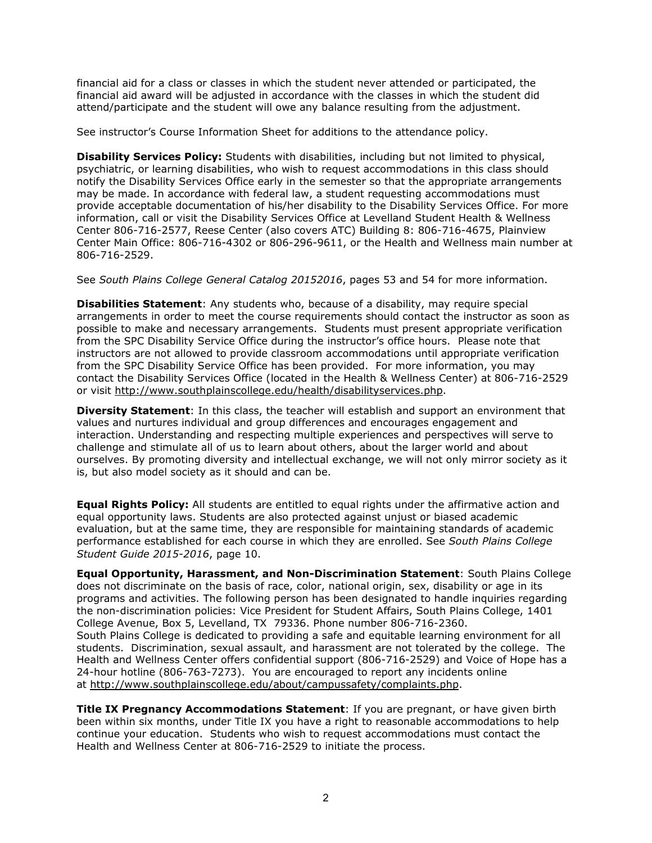financial aid for a class or classes in which the student never attended or participated, the financial aid award will be adjusted in accordance with the classes in which the student did attend/participate and the student will owe any balance resulting from the adjustment.

See instructor's Course Information Sheet for additions to the attendance policy.

**Disability Services Policy:** Students with disabilities, including but not limited to physical, psychiatric, or learning disabilities, who wish to request accommodations in this class should notify the Disability Services Office early in the semester so that the appropriate arrangements may be made. In accordance with federal law, a student requesting accommodations must provide acceptable documentation of his/her disability to the Disability Services Office. For more information, call or visit the Disability Services Office at Levelland Student Health & Wellness Center 806-716-2577, Reese Center (also covers ATC) Building 8: 806-716-4675, Plainview Center Main Office: 806-716-4302 or 806-296-9611, or the Health and Wellness main number at 806-716-2529.

See *South Plains College General Catalog 20152016*, pages 53 and 54 for more information.

**Disabilities Statement**: Any students who, because of a disability, may require special arrangements in order to meet the course requirements should contact the instructor as soon as possible to make and necessary arrangements. Students must present appropriate verification from the SPC Disability Service Office during the instructor's office hours. Please note that instructors are not allowed to provide classroom accommodations until appropriate verification from the SPC Disability Service Office has been provided. For more information, you may contact the Disability Services Office (located in the Health & Wellness Center) at 806-716-2529 or visit [http://www.southplainscollege.edu/health/disabilityservices.php.](http://www.southplainscollege.edu/health/disabilityservices.php)

**Diversity Statement**: In this class, the teacher will establish and support an environment that values and nurtures individual and group differences and encourages engagement and interaction. Understanding and respecting multiple experiences and perspectives will serve to challenge and stimulate all of us to learn about others, about the larger world and about ourselves. By promoting diversity and intellectual exchange, we will not only mirror society as it is, but also model society as it should and can be.

**Equal Rights Policy:** All students are entitled to equal rights under the affirmative action and equal opportunity laws. Students are also protected against unjust or biased academic evaluation, but at the same time, they are responsible for maintaining standards of academic performance established for each course in which they are enrolled. See *South Plains College Student Guide 2015-2016*, page 10.

**Equal Opportunity, Harassment, and Non-Discrimination Statement**: South Plains College does not discriminate on the basis of race, color, national origin, sex, disability or age in its programs and activities. The following person has been designated to handle inquiries regarding the non-discrimination policies: Vice President for Student Affairs, South Plains College, 1401 College Avenue, Box 5, Levelland, TX 79336. Phone number 806-716-2360. South Plains College is dedicated to providing a safe and equitable learning environment for all students. Discrimination, sexual assault, and harassment are not tolerated by the college. The Health and Wellness Center offers confidential support (806-716-2529) and Voice of Hope has a 24-hour hotline (806-763-7273). You are encouraged to report any incidents online at [http://www.southplainscollege.edu/about/campussafety/complaints.php.](http://www.southplainscollege.edu/about/campussafety/complaints.php)

**Title IX Pregnancy Accommodations Statement**: If you are pregnant, or have given birth been within six months, under Title IX you have a right to reasonable accommodations to help continue your education. Students who wish to request accommodations must contact the Health and Wellness Center at 806-716-2529 to initiate the process.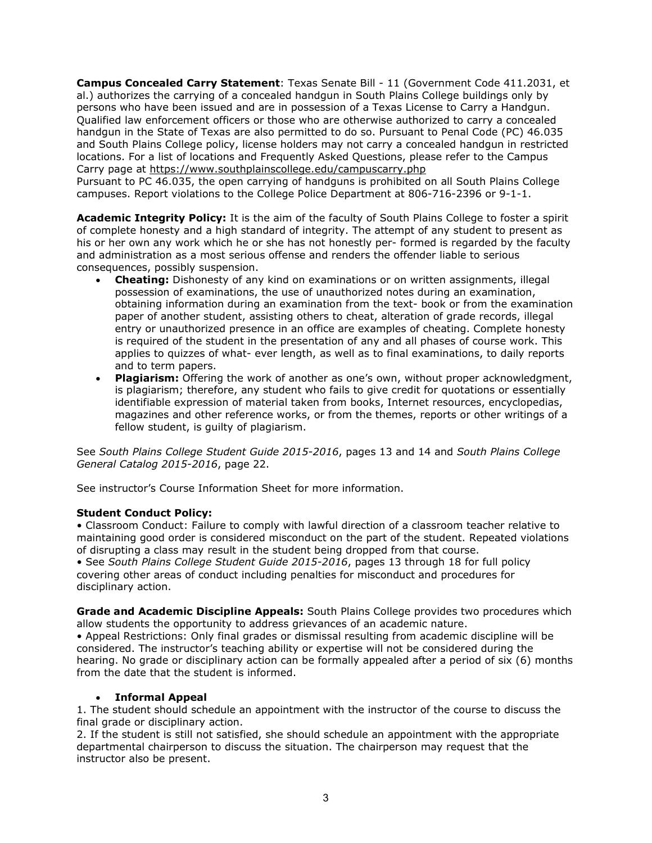**Campus Concealed Carry Statement**: Texas Senate Bill - 11 (Government Code 411.2031, et al.) authorizes the carrying of a concealed handgun in South Plains College buildings only by persons who have been issued and are in possession of a Texas License to Carry a Handgun. Qualified law enforcement officers or those who are otherwise authorized to carry a concealed handgun in the State of Texas are also permitted to do so. Pursuant to Penal Code (PC) 46.035 and South Plains College policy, license holders may not carry a concealed handgun in restricted locations. For a list of locations and Frequently Asked Questions, please refer to the Campus Carry page at [https://www.southplainscollege.edu/campuscarry.php](http://www.southplainscollege.edu/campuscarry.php)

Pursuant to PC 46.035, the open carrying of handguns is prohibited on all South Plains College campuses. Report violations to the College Police Department at 806-716-2396 or 9-1-1.

**Academic Integrity Policy:** It is the aim of the faculty of South Plains College to foster a spirit of complete honesty and a high standard of integrity. The attempt of any student to present as his or her own any work which he or she has not honestly per- formed is regarded by the faculty and administration as a most serious offense and renders the offender liable to serious consequences, possibly suspension.

- **Cheating:** Dishonesty of any kind on examinations or on written assignments, illegal possession of examinations, the use of unauthorized notes during an examination, obtaining information during an examination from the text- book or from the examination paper of another student, assisting others to cheat, alteration of grade records, illegal entry or unauthorized presence in an office are examples of cheating. Complete honesty is required of the student in the presentation of any and all phases of course work. This applies to quizzes of what- ever length, as well as to final examinations, to daily reports and to term papers.
- **Plagiarism:** Offering the work of another as one's own, without proper acknowledgment, is plagiarism; therefore, any student who fails to give credit for quotations or essentially identifiable expression of material taken from books, Internet resources, encyclopedias, magazines and other reference works, or from the themes, reports or other writings of a fellow student, is guilty of plagiarism.

See *South Plains College Student Guide 2015-2016*, pages 13 and 14 and *South Plains College General Catalog 2015-2016*, page 22.

See instructor's Course Information Sheet for more information.

## **Student Conduct Policy:**

• Classroom Conduct: Failure to comply with lawful direction of a classroom teacher relative to maintaining good order is considered misconduct on the part of the student. Repeated violations of disrupting a class may result in the student being dropped from that course. • See *South Plains College Student Guide 2015-2016*, pages 13 through 18 for full policy covering other areas of conduct including penalties for misconduct and procedures for disciplinary action.

**Grade and Academic Discipline Appeals:** South Plains College provides two procedures which allow students the opportunity to address grievances of an academic nature.

• Appeal Restrictions: Only final grades or dismissal resulting from academic discipline will be considered. The instructor's teaching ability or expertise will not be considered during the hearing. No grade or disciplinary action can be formally appealed after a period of six (6) months from the date that the student is informed.

## • **Informal Appeal**

1. The student should schedule an appointment with the instructor of the course to discuss the final grade or disciplinary action.

2. If the student is still not satisfied, she should schedule an appointment with the appropriate departmental chairperson to discuss the situation. The chairperson may request that the instructor also be present.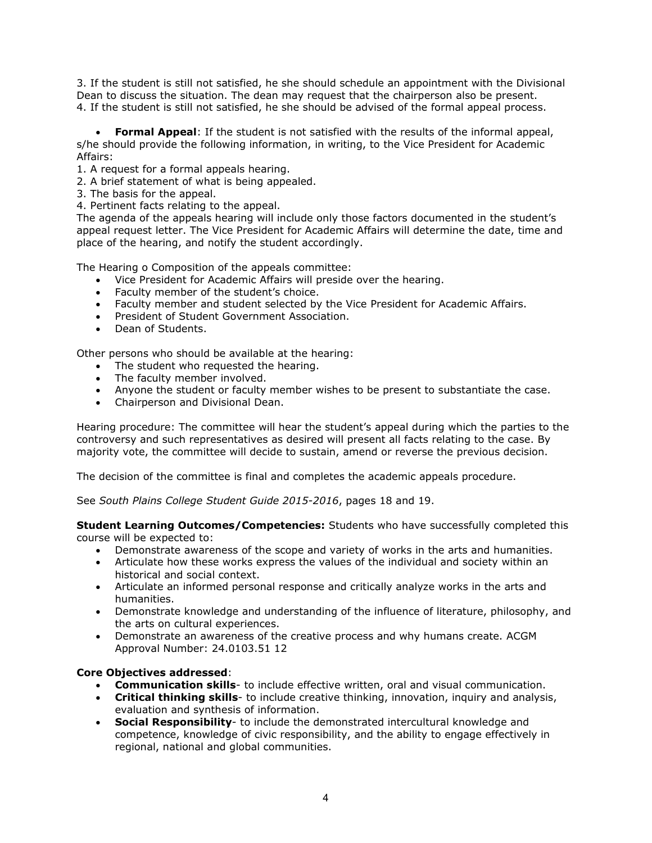3. If the student is still not satisfied, he she should schedule an appointment with the Divisional Dean to discuss the situation. The dean may request that the chairperson also be present. 4. If the student is still not satisfied, he she should be advised of the formal appeal process.

• **Formal Appeal**: If the student is not satisfied with the results of the informal appeal, s/he should provide the following information, in writing, to the Vice President for Academic Affairs:

1. A request for a formal appeals hearing.

2. A brief statement of what is being appealed.

3. The basis for the appeal.

4. Pertinent facts relating to the appeal.

The agenda of the appeals hearing will include only those factors documented in the student's appeal request letter. The Vice President for Academic Affairs will determine the date, time and place of the hearing, and notify the student accordingly.

The Hearing o Composition of the appeals committee:

- Vice President for Academic Affairs will preside over the hearing.
- Faculty member of the student's choice.
- Faculty member and student selected by the Vice President for Academic Affairs.
- President of Student Government Association.
- Dean of Students.

Other persons who should be available at the hearing:

- The student who requested the hearing.
- The faculty member involved.
- Anyone the student or faculty member wishes to be present to substantiate the case.
- Chairperson and Divisional Dean.

Hearing procedure: The committee will hear the student's appeal during which the parties to the controversy and such representatives as desired will present all facts relating to the case. By majority vote, the committee will decide to sustain, amend or reverse the previous decision.

The decision of the committee is final and completes the academic appeals procedure.

See *South Plains College Student Guide 2015-2016*, pages 18 and 19.

**Student Learning Outcomes/Competencies:** Students who have successfully completed this course will be expected to:

- Demonstrate awareness of the scope and variety of works in the arts and humanities.
- Articulate how these works express the values of the individual and society within an historical and social context.
- Articulate an informed personal response and critically analyze works in the arts and humanities.
- Demonstrate knowledge and understanding of the influence of literature, philosophy, and the arts on cultural experiences.
- Demonstrate an awareness of the creative process and why humans create. ACGM Approval Number: 24.0103.51 12

# **Core Objectives addressed**:

- **Communication skills** to include effective written, oral and visual communication.
- **Critical thinking skills** to include creative thinking, innovation, inquiry and analysis, evaluation and synthesis of information.
- **Social Responsibility** to include the demonstrated intercultural knowledge and competence, knowledge of civic responsibility, and the ability to engage effectively in regional, national and global communities.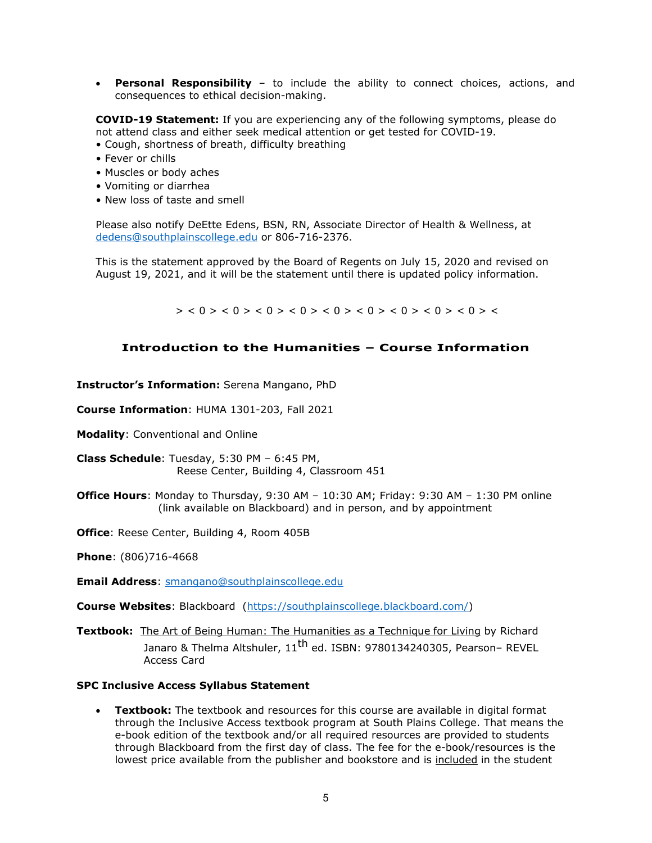• **Personal Responsibility** – to include the ability to connect choices, actions, and consequences to ethical decision-making.

**COVID-19 Statement:** If you are experiencing any of the following symptoms, please do not attend class and either seek medical attention or get tested for COVID-19.

- Cough, shortness of breath, difficulty breathing
- Fever or chills
- Muscles or body aches
- Vomiting or diarrhea
- New loss of taste and smell

Please also notify DeEtte Edens, BSN, RN, Associate Director of Health & Wellness, at [dedens@southplainscollege.edu](mailto:dedens@southplainscollege.edu) or 806-716-2376.

This is the statement approved by the Board of Regents on July 15, 2020 and revised on August 19, 2021, and it will be the statement until there is updated policy information.

 $>$  < 0 > < 0 > < 0 > < 0 > < 0 > < 0 > < 0 > < 0 > < 0 > < 0 > < 0 > < 0 > < 0 > < 0 > <

# **Introduction to the Humanities – Course Information**

**Instructor's Information:** Serena Mangano, PhD

**Course Information**: HUMA 1301-203, Fall 2021

**Modality**: Conventional and Online

**Class Schedule**: Tuesday, 5:30 PM – 6:45 PM, Reese Center, Building 4, Classroom 451

**Office Hours**: Monday to Thursday, 9:30 AM – 10:30 AM; Friday: 9:30 AM – 1:30 PM online (link available on Blackboard) and in person, and by appointment

**Office**: Reese Center, Building 4, Room 405B

**Phone**: (806)716-4668

**Email Address**: [smangano@southplainscollege.edu](mailto:smangano@southplainscollege.edu)

**Course Websites**: Blackboard [\(https://southplainscollege.blackboard.com/\)](https://southplainscollege.blackboard.com/)

**Textbook:** The Art of Being Human: The Humanities as a Technique for Living by Richard Janaro & Thelma Altshuler, 11<sup>th</sup> ed. ISBN: 9780134240305, Pearson- REVEL Access Card

## **SPC Inclusive Access Syllabus Statement**

**Textbook:** The textbook and resources for this course are available in digital format through the Inclusive Access textbook program at South Plains College. That means the e-book edition of the textbook and/or all required resources are provided to students through Blackboard from the first day of class. The fee for the e-book/resources is the lowest price available from the publisher and bookstore and is included in the student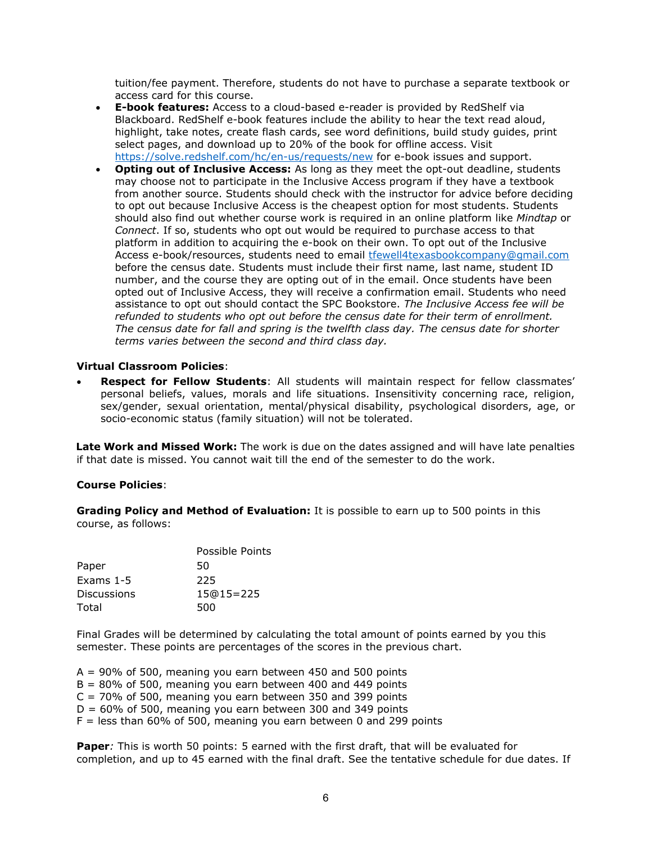tuition/fee payment. Therefore, students do not have to purchase a separate textbook or access card for this course.

- **E-book features:** Access to a cloud-based e-reader is provided by RedShelf via Blackboard. RedShelf e-book features include the ability to hear the text read aloud, highlight, take notes, create flash cards, see word definitions, build study guides, print select pages, and download up to 20% of the book for offline access. Visit <https://solve.redshelf.com/hc/en-us/requests/new> for e-book issues and support.
- **Opting out of Inclusive Access:** As long as they meet the opt-out deadline, students may choose not to participate in the Inclusive Access program if they have a textbook from another source. Students should check with the instructor for advice before deciding to opt out because Inclusive Access is the cheapest option for most students. Students should also find out whether course work is required in an online platform like *Mindtap* or *Connect*. If so, students who opt out would be required to purchase access to that platform in addition to acquiring the e-book on their own. To opt out of the Inclusive Access e-book/resources, students need to email [tfewell4texasbookcompany@gmail.com](mailto:tfewell4texasbookcompany@gmail.com) before the census date. Students must include their first name, last name, student ID number, and the course they are opting out of in the email. Once students have been opted out of Inclusive Access, they will receive a confirmation email. Students who need assistance to opt out should contact the SPC Bookstore. *The Inclusive Access fee will be refunded to students who opt out before the census date for their term of enrollment. The census date for fall and spring is the twelfth class day. The census date for shorter terms varies between the second and third class day.*

## **Virtual Classroom Policies**:

• **Respect for Fellow Students**: All students will maintain respect for fellow classmates' personal beliefs, values, morals and life situations. Insensitivity concerning race, religion, sex/gender, sexual orientation, mental/physical disability, psychological disorders, age, or socio-economic status (family situation) will not be tolerated.

**Late Work and Missed Work:** The work is due on the dates assigned and will have late penalties if that date is missed. You cannot wait till the end of the semester to do the work.

## **Course Policies**:

**Grading Policy and Method of Evaluation:** It is possible to earn up to 500 points in this course, as follows:

|                    | Possible Points |
|--------------------|-----------------|
| Paper              | 50              |
| Exams $1-5$        | 225             |
| <b>Discussions</b> | 15@15=225       |
| Total              | 500             |
|                    |                 |

Final Grades will be determined by calculating the total amount of points earned by you this semester. These points are percentages of the scores in the previous chart.

 $A = 90\%$  of 500, meaning you earn between 450 and 500 points

 $B = 80\%$  of 500, meaning you earn between 400 and 449 points

 $C = 70\%$  of 500, meaning you earn between 350 and 399 points

 $D = 60\%$  of 500, meaning you earn between 300 and 349 points

 $F =$  less than 60% of 500, meaning you earn between 0 and 299 points

**Paper***:* This is worth 50 points: 5 earned with the first draft, that will be evaluated for completion, and up to 45 earned with the final draft. See the tentative schedule for due dates. If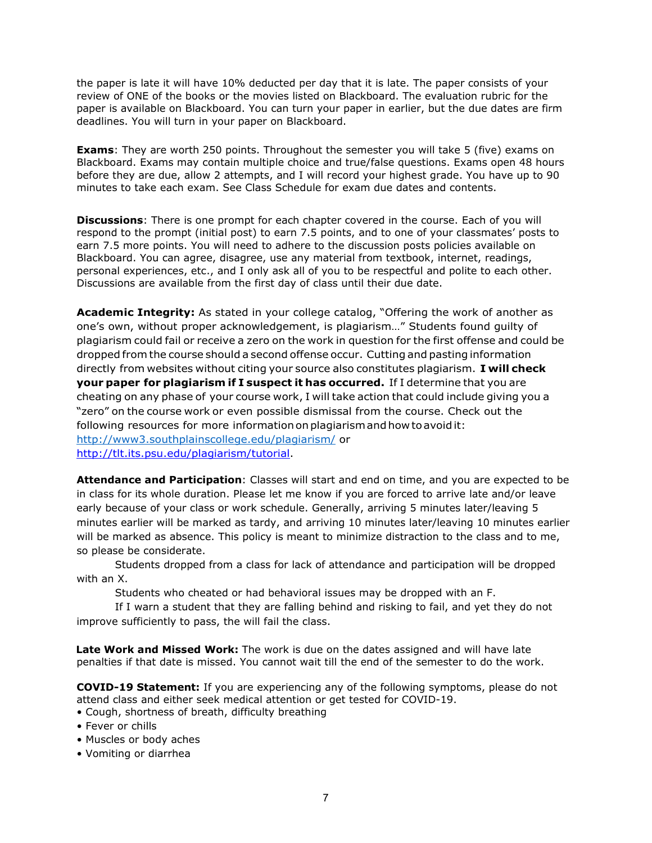the paper is late it will have 10% deducted per day that it is late. The paper consists of your review of ONE of the books or the movies listed on Blackboard. The evaluation rubric for the paper is available on Blackboard. You can turn your paper in earlier, but the due dates are firm deadlines. You will turn in your paper on Blackboard.

**Exams**: They are worth 250 points. Throughout the semester you will take 5 (five) exams on Blackboard. Exams may contain multiple choice and true/false questions. Exams open 48 hours before they are due, allow 2 attempts, and I will record your highest grade. You have up to 90 minutes to take each exam. See Class Schedule for exam due dates and contents.

**Discussions**: There is one prompt for each chapter covered in the course. Each of you will respond to the prompt (initial post) to earn 7.5 points, and to one of your classmates' posts to earn 7.5 more points. You will need to adhere to the discussion posts policies available on Blackboard. You can agree, disagree, use any material from textbook, internet, readings, personal experiences, etc., and I only ask all of you to be respectful and polite to each other. Discussions are available from the first day of class until their due date.

**Academic Integrity:** As stated in your college catalog, "Offering the work of another as one's own, without proper acknowledgement, is plagiarism…" Students found guilty of plagiarism could fail or receive a zero on the work in question for the first offense and could be dropped from the course should a second offense occur. Cutting and pasting information directly from websites without citing your source also constitutes plagiarism. **I will check your paper for plagiarism if I suspect it has occurred.** If I determine that you are cheating on any phase of your course work, I will take action that could include giving you a "zero" on the course work or even possible dismissal from the course. Check out the following resources for more information on plagiarism and how to avoid it: <http://www3.southplainscollege.edu/plagiarism/> or [http://tlt.its.psu.edu/plagiarism/tutorial.](http://tlt.its.psu.edu/plagiarism/tutorial)

**Attendance and Participation**: Classes will start and end on time, and you are expected to be in class for its whole duration. Please let me know if you are forced to arrive late and/or leave early because of your class or work schedule. Generally, arriving 5 minutes later/leaving 5 minutes earlier will be marked as tardy, and arriving 10 minutes later/leaving 10 minutes earlier will be marked as absence. This policy is meant to minimize distraction to the class and to me, so please be considerate.

Students dropped from a class for lack of attendance and participation will be dropped with an X.

Students who cheated or had behavioral issues may be dropped with an F.

If I warn a student that they are falling behind and risking to fail, and yet they do not improve sufficiently to pass, the will fail the class.

**Late Work and Missed Work:** The work is due on the dates assigned and will have late penalties if that date is missed. You cannot wait till the end of the semester to do the work.

**COVID-19 Statement:** If you are experiencing any of the following symptoms, please do not attend class and either seek medical attention or get tested for COVID-19.

- Cough, shortness of breath, difficulty breathing
- Fever or chills
- Muscles or body aches
- Vomiting or diarrhea